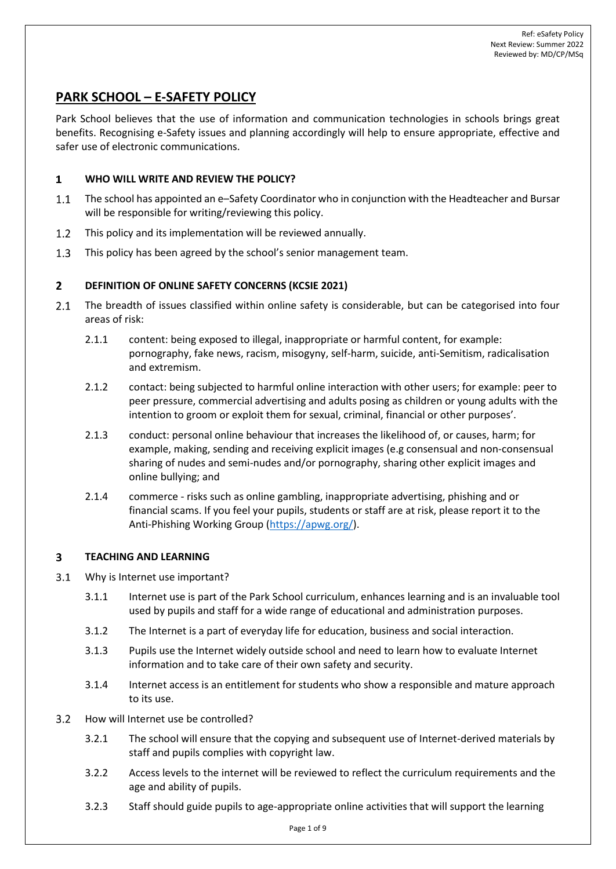# **PARK SCHOOL – E-SAFETY POLICY**

Park School believes that the use of information and communication technologies in schools brings great benefits. Recognising e-Safety issues and planning accordingly will help to ensure appropriate, effective and safer use of electronic communications.

### $\mathbf{1}$ **WHO WILL WRITE AND REVIEW THE POLICY?**

- $1.1$ The school has appointed an e–Safety Coordinator who in conjunction with the Headteacher and Bursar will be responsible for writing/reviewing this policy.
- This policy and its implementation will be reviewed annually.  $1.2$
- $1.3$ This policy has been agreed by the school's senior management team.

## $2<sup>1</sup>$ **DEFINITION OF ONLINE SAFETY CONCERNS (KCSIE 2021)**

- $2.1$ The breadth of issues classified within online safety is considerable, but can be categorised into four areas of risk:
	- 2.1.1 content: being exposed to illegal, inappropriate or harmful content, for example: pornography, fake news, racism, misogyny, self-harm, suicide, anti-Semitism, radicalisation and extremism.
	- 2.1.2 contact: being subjected to harmful online interaction with other users; for example: peer to peer pressure, commercial advertising and adults posing as children or young adults with the intention to groom or exploit them for sexual, criminal, financial or other purposes'.
	- 2.1.3 conduct: personal online behaviour that increases the likelihood of, or causes, harm; for example, making, sending and receiving explicit images (e.g consensual and non-consensual sharing of nudes and semi-nudes and/or pornography, sharing other explicit images and online bullying; and
	- 2.1.4 commerce risks such as online gambling, inappropriate advertising, phishing and or financial scams. If you feel your pupils, students or staff are at risk, please report it to the Anti-Phishing Working Group [\(https://apwg.org/\)](https://apwg.org/).

## **TEACHING AND LEARNING**  $\overline{\mathbf{3}}$

- $3.1$ Why is Internet use important?
	- 3.1.1 Internet use is part of the Park School curriculum, enhances learning and is an invaluable tool used by pupils and staff for a wide range of educational and administration purposes.
	- 3.1.2 The Internet is a part of everyday life for education, business and social interaction.
	- 3.1.3 Pupils use the Internet widely outside school and need to learn how to evaluate Internet information and to take care of their own safety and security.
	- 3.1.4 Internet access is an entitlement for students who show a responsible and mature approach to its use.
- $3.2$ How will Internet use be controlled?
	- 3.2.1 The school will ensure that the copying and subsequent use of Internet-derived materials by staff and pupils complies with copyright law.
	- 3.2.2 Access levels to the internet will be reviewed to reflect the curriculum requirements and the age and ability of pupils.
	- 3.2.3 Staff should guide pupils to age-appropriate online activities that will support the learning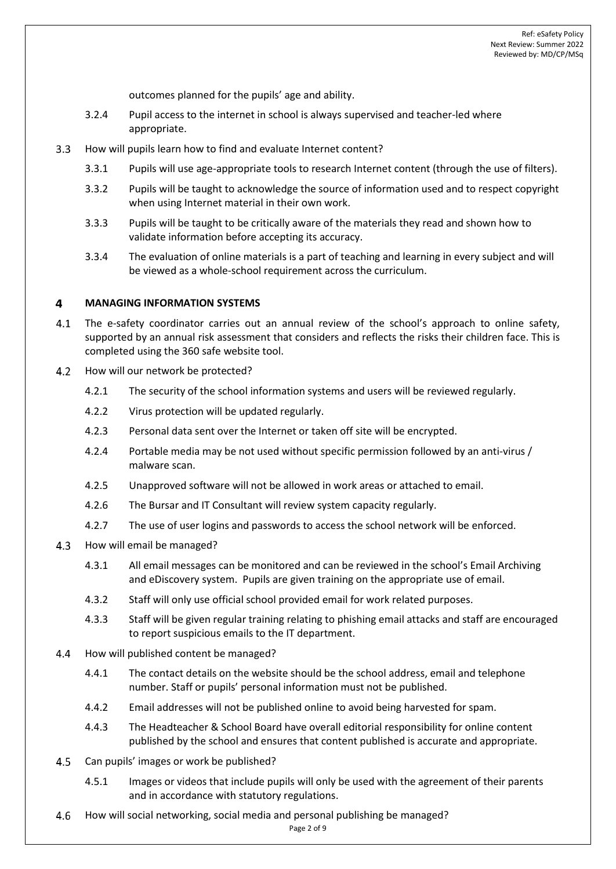outcomes planned for the pupils' age and ability.

- 3.2.4 Pupil access to the internet in school is always supervised and teacher-led where appropriate.
- How will pupils learn how to find and evaluate Internet content?  $3.3$ 
	- 3.3.1 Pupils will use age-appropriate tools to research Internet content (through the use of filters).
	- 3.3.2 Pupils will be taught to acknowledge the source of information used and to respect copyright when using Internet material in their own work.
	- 3.3.3 Pupils will be taught to be critically aware of the materials they read and shown how to validate information before accepting its accuracy.
	- 3.3.4 The evaluation of online materials is a part of teaching and learning in every subject and will be viewed as a whole-school requirement across the curriculum.

#### $\overline{\mathbf{4}}$ **MANAGING INFORMATION SYSTEMS**

- $4.1$ The e-safety coordinator carries out an annual review of the school's approach to online safety, supported by an annual risk assessment that considers and reflects the risks their children face. This is completed using the 360 safe website tool.
- $4.2$ How will our network be protected?
	- 4.2.1 The security of the school information systems and users will be reviewed regularly.
	- 4.2.2 Virus protection will be updated regularly.
	- 4.2.3 Personal data sent over the Internet or taken off site will be encrypted.
	- 4.2.4 Portable media may be not used without specific permission followed by an anti-virus / malware scan.
	- 4.2.5 Unapproved software will not be allowed in work areas or attached to email.
	- 4.2.6 The Bursar and IT Consultant will review system capacity regularly.
	- 4.2.7 The use of user logins and passwords to access the school network will be enforced.
- 4.3 How will email be managed?
	- 4.3.1 All email messages can be monitored and can be reviewed in the school's Email Archiving and eDiscovery system. Pupils are given training on the appropriate use of email.
	- 4.3.2 Staff will only use official school provided email for work related purposes.
	- 4.3.3 Staff will be given regular training relating to phishing email attacks and staff are encouraged to report suspicious emails to the IT department.
- $4.4$ How will published content be managed?
	- 4.4.1 The contact details on the website should be the school address, email and telephone number. Staff or pupils' personal information must not be published.
	- 4.4.2 Email addresses will not be published online to avoid being harvested for spam.
	- 4.4.3 The Headteacher & School Board have overall editorial responsibility for online content published by the school and ensures that content published is accurate and appropriate.
- 4.5 Can pupils' images or work be published?
	- 4.5.1 Images or videos that include pupils will only be used with the agreement of their parents and in accordance with statutory regulations.
- How will social networking, social media and personal publishing be managed? $4.6$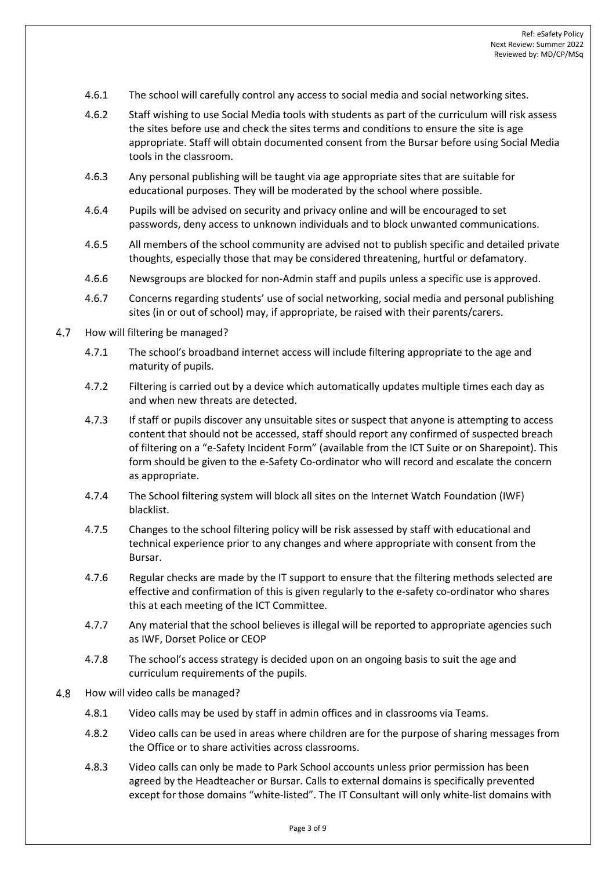- 4.6.1 The school will carefully control any access to social media and social networking sites.
- 4.6.2 Staff wishing to use Social Media tools with students as part of the curriculum will risk assess the sites before use and check the sites terms and conditions to ensure the site is age appropriate. Staff will obtain documented consent from the Bursar before using Social Media tools in the classroom.
- 4.6.3 Any personal publishing will be taught via age appropriate sites that are suitable for educational purposes. They will be moderated by the school where possible.
- 4.6.4 Pupils will be advised on security and privacy online and will be encouraged to set passwords, deny access to unknown individuals and to block unwanted communications.
- 4.6.5 All members of the school community are advised not to publish specific and detailed private thoughts, especially those that may be considered threatening, hurtful or defamatory.
- 4.6.6 Newsgroups are blocked for non-Admin staff and pupils unless a specific use is approved.
- 4.6.7 Concerns regarding students' use of social networking, social media and personal publishing sites (in or out of school) may, if appropriate, be raised with their parents/carers.
- $4.7$ How will filtering be managed?
	- 4.7.1 The school's broadband internet access will include filtering appropriate to the age and maturity of pupils.
	- 4.7.2 Filtering is carried out by a device which automatically updates multiple times each day as and when new threats are detected.
	- 4.7.3 If staff or pupils discover any unsuitable sites or suspect that anyone is attempting to access content that should not be accessed, staff should report any confirmed of suspected breach of filtering on a "e-Safety Incident Form" (available from the ICT Suite or on Sharepoint). This form should be given to the e-Safety Co-ordinator who will record and escalate the concern as appropriate.
	- 4.7.4 The School filtering system will block all sites on the Internet Watch Foundation (IWF) blacklist.
	- 4.7.5 Changes to the school filtering policy will be risk assessed by staff with educational and technical experience prior to any changes and where appropriate with consent from the Bursar.
	- 4.7.6 Regular checks are made by the IT support to ensure that the filtering methods selected are effective and confirmation of this is given regularly to the e-safety co-ordinator who shares this at each meeting of the ICT Committee.
	- 4.7.7 Any material that the school believes is illegal will be reported to appropriate agencies such as IWF, Dorset Police or CEOP
	- 4.7.8 The school's access strategy is decided upon on an ongoing basis to suit the age and curriculum requirements of the pupils.
- 4.8 How will video calls be managed?
	- 4.8.1 Video calls may be used by staff in admin offices and in classrooms via Teams.
	- 4.8.2 Video calls can be used in areas where children are for the purpose of sharing messages from the Office or to share activities across classrooms.
	- 4.8.3 Video calls can only be made to Park School accounts unless prior permission has been agreed by the Headteacher or Bursar. Calls to external domains is specifically prevented except for those domains "white-listed". The IT Consultant will only white-list domains with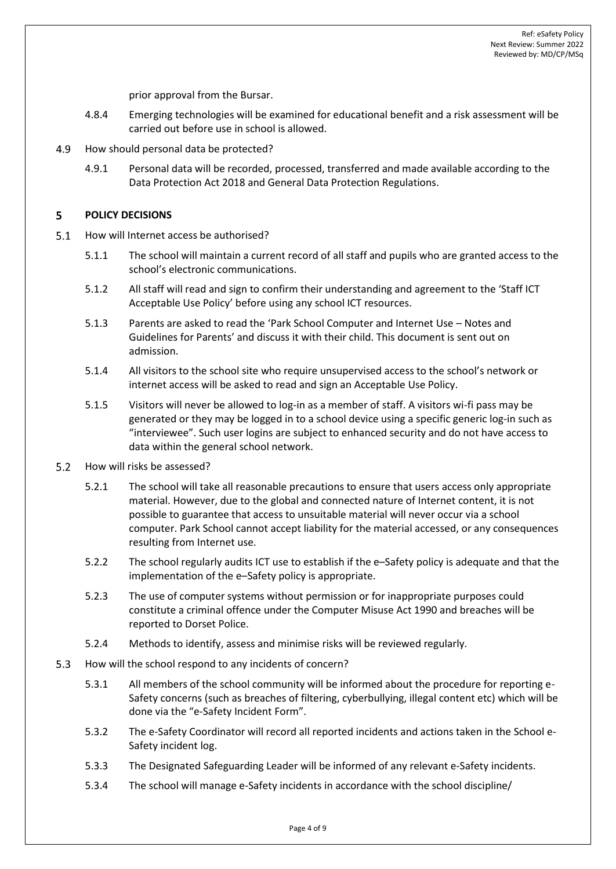prior approval from the Bursar.

- 4.8.4 Emerging technologies will be examined for educational benefit and a risk assessment will be carried out before use in school is allowed.
- 4.9 How should personal data be protected?
	- 4.9.1 Personal data will be recorded, processed, transferred and made available according to the Data Protection Act 2018 and General Data Protection Regulations.

#### 5 **POLICY DECISIONS**

- $5.1$ How will Internet access be authorised?
	- 5.1.1 The school will maintain a current record of all staff and pupils who are granted access to the school's electronic communications.
	- 5.1.2 All staff will read and sign to confirm their understanding and agreement to the 'Staff ICT Acceptable Use Policy' before using any school ICT resources.
	- 5.1.3 Parents are asked to read the 'Park School Computer and Internet Use Notes and Guidelines for Parents' and discuss it with their child. This document is sent out on admission.
	- 5.1.4 All visitors to the school site who require unsupervised access to the school's network or internet access will be asked to read and sign an Acceptable Use Policy.
	- 5.1.5 Visitors will never be allowed to log-in as a member of staff. A visitors wi-fi pass may be generated or they may be logged in to a school device using a specific generic log-in such as "interviewee". Such user logins are subject to enhanced security and do not have access to data within the general school network.
- $5.2$ How will risks be assessed?
	- 5.2.1 The school will take all reasonable precautions to ensure that users access only appropriate material. However, due to the global and connected nature of Internet content, it is not possible to guarantee that access to unsuitable material will never occur via a school computer. Park School cannot accept liability for the material accessed, or any consequences resulting from Internet use.
	- 5.2.2 The school regularly audits ICT use to establish if the e–Safety policy is adequate and that the implementation of the e–Safety policy is appropriate.
	- 5.2.3 The use of computer systems without permission or for inappropriate purposes could constitute a criminal offence under the Computer Misuse Act 1990 and breaches will be reported to Dorset Police.
	- 5.2.4 Methods to identify, assess and minimise risks will be reviewed regularly.
- 5.3 How will the school respond to any incidents of concern?
	- 5.3.1 All members of the school community will be informed about the procedure for reporting e-Safety concerns (such as breaches of filtering, cyberbullying, illegal content etc) which will be done via the "e-Safety Incident Form".
	- 5.3.2 The e-Safety Coordinator will record all reported incidents and actions taken in the School e-Safety incident log.
	- 5.3.3 The Designated Safeguarding Leader will be informed of any relevant e-Safety incidents.
	- 5.3.4 The school will manage e-Safety incidents in accordance with the school discipline/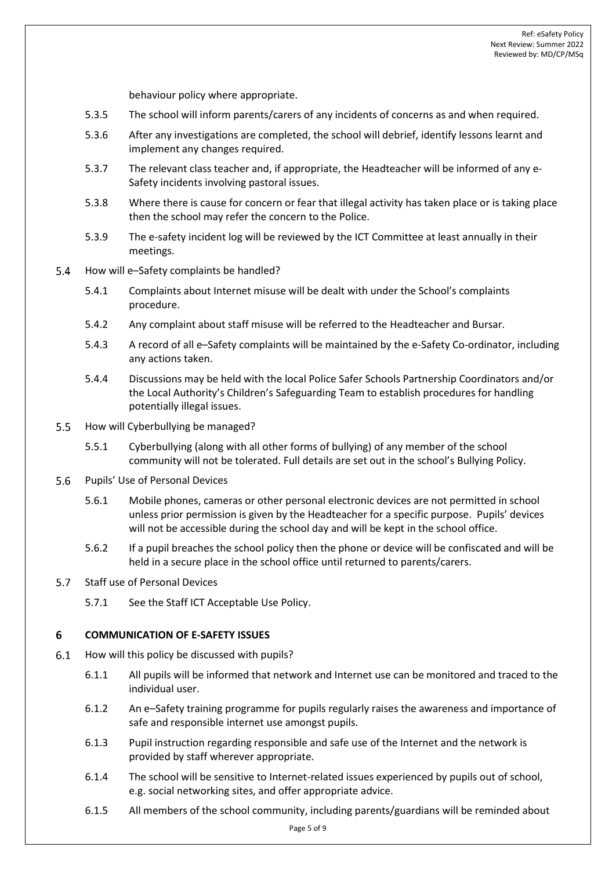behaviour policy where appropriate.

- 5.3.5 The school will inform parents/carers of any incidents of concerns as and when required.
- 5.3.6 After any investigations are completed, the school will debrief, identify lessons learnt and implement any changes required.
- 5.3.7 The relevant class teacher and, if appropriate, the Headteacher will be informed of any e-Safety incidents involving pastoral issues.
- 5.3.8 Where there is cause for concern or fear that illegal activity has taken place or is taking place then the school may refer the concern to the Police.
- 5.3.9 The e-safety incident log will be reviewed by the ICT Committee at least annually in their meetings.
- $5.4$ How will e–Safety complaints be handled?
	- 5.4.1 Complaints about Internet misuse will be dealt with under the School's complaints procedure.
	- 5.4.2 Any complaint about staff misuse will be referred to the Headteacher and Bursar.
	- 5.4.3 A record of all e–Safety complaints will be maintained by the e-Safety Co-ordinator, including any actions taken.
	- 5.4.4 Discussions may be held with the local Police Safer Schools Partnership Coordinators and/or the Local Authority's Children's Safeguarding Team to establish procedures for handling potentially illegal issues.
- $5.5$ How will Cyberbullying be managed?
	- 5.5.1 Cyberbullying (along with all other forms of bullying) of any member of the school community will not be tolerated. Full details are set out in the school's Bullying Policy.
- 5.6 Pupils' Use of Personal Devices
	- 5.6.1 Mobile phones, cameras or other personal electronic devices are not permitted in school unless prior permission is given by the Headteacher for a specific purpose. Pupils' devices will not be accessible during the school day and will be kept in the school office.
	- 5.6.2 If a pupil breaches the school policy then the phone or device will be confiscated and will be held in a secure place in the school office until returned to parents/carers.
- $5.7$ Staff use of Personal Devices
	- 5.7.1 See the Staff ICT Acceptable Use Policy.

#### 6 **COMMUNICATION OF E-SAFETY ISSUES**

- How will this policy be discussed with pupils?  $6.1$ 
	- 6.1.1 All pupils will be informed that network and Internet use can be monitored and traced to the individual user.
	- 6.1.2 An e–Safety training programme for pupils regularly raises the awareness and importance of safe and responsible internet use amongst pupils.
	- 6.1.3 Pupil instruction regarding responsible and safe use of the Internet and the network is provided by staff wherever appropriate.
	- 6.1.4 The school will be sensitive to Internet-related issues experienced by pupils out of school, e.g. social networking sites, and offer appropriate advice.
	- 6.1.5 All members of the school community, including parents/guardians will be reminded about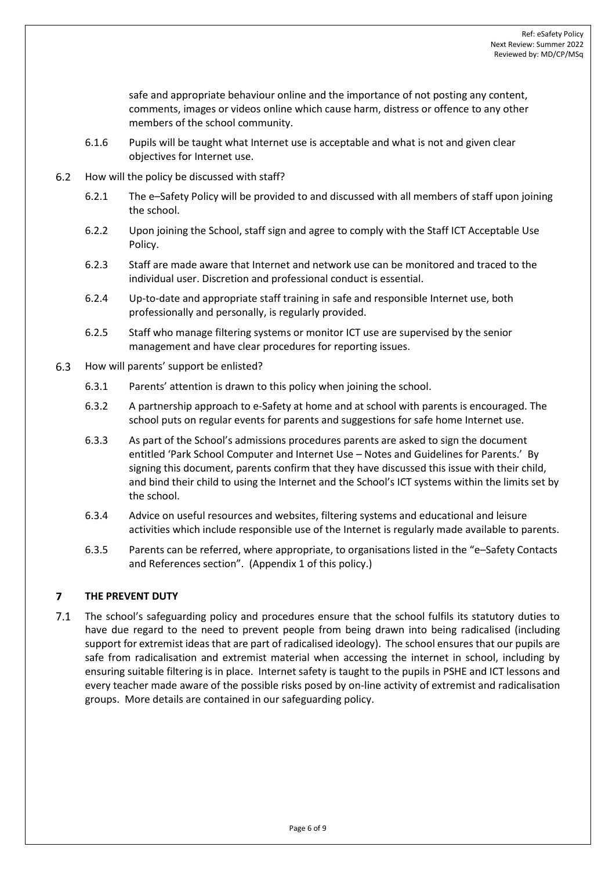safe and appropriate behaviour online and the importance of not posting any content, comments, images or videos online which cause harm, distress or offence to any other members of the school community.

- 6.1.6 Pupils will be taught what Internet use is acceptable and what is not and given clear objectives for Internet use.
- $6.2$ How will the policy be discussed with staff?
	- 6.2.1 The e–Safety Policy will be provided to and discussed with all members of staff upon joining the school.
	- 6.2.2 Upon joining the School, staff sign and agree to comply with the Staff ICT Acceptable Use Policy.
	- 6.2.3 Staff are made aware that Internet and network use can be monitored and traced to the individual user. Discretion and professional conduct is essential.
	- 6.2.4 Up-to-date and appropriate staff training in safe and responsible Internet use, both professionally and personally, is regularly provided.
	- 6.2.5 Staff who manage filtering systems or monitor ICT use are supervised by the senior management and have clear procedures for reporting issues.
- $6.3$ How will parents' support be enlisted?
	- 6.3.1 Parents' attention is drawn to this policy when joining the school.
	- 6.3.2 A partnership approach to e-Safety at home and at school with parents is encouraged. The school puts on regular events for parents and suggestions for safe home Internet use.
	- 6.3.3 As part of the School's admissions procedures parents are asked to sign the document entitled 'Park School Computer and Internet Use – Notes and Guidelines for Parents.' By signing this document, parents confirm that they have discussed this issue with their child, and bind their child to using the Internet and the School's ICT systems within the limits set by the school.
	- 6.3.4 Advice on useful resources and websites, filtering systems and educational and leisure activities which include responsible use of the Internet is regularly made available to parents.
	- 6.3.5 Parents can be referred, where appropriate, to organisations listed in the "e–Safety Contacts and References section". (Appendix 1 of this policy.)

## **THE PREVENT DUTY**  $\overline{7}$

 $7.1$ The school's safeguarding policy and procedures ensure that the school fulfils its statutory duties to have due regard to the need to prevent people from being drawn into being radicalised (including support for extremist ideas that are part of radicalised ideology). The school ensures that our pupils are safe from radicalisation and extremist material when accessing the internet in school, including by ensuring suitable filtering is in place. Internet safety is taught to the pupils in PSHE and ICT lessons and every teacher made aware of the possible risks posed by on-line activity of extremist and radicalisation groups. More details are contained in our safeguarding policy.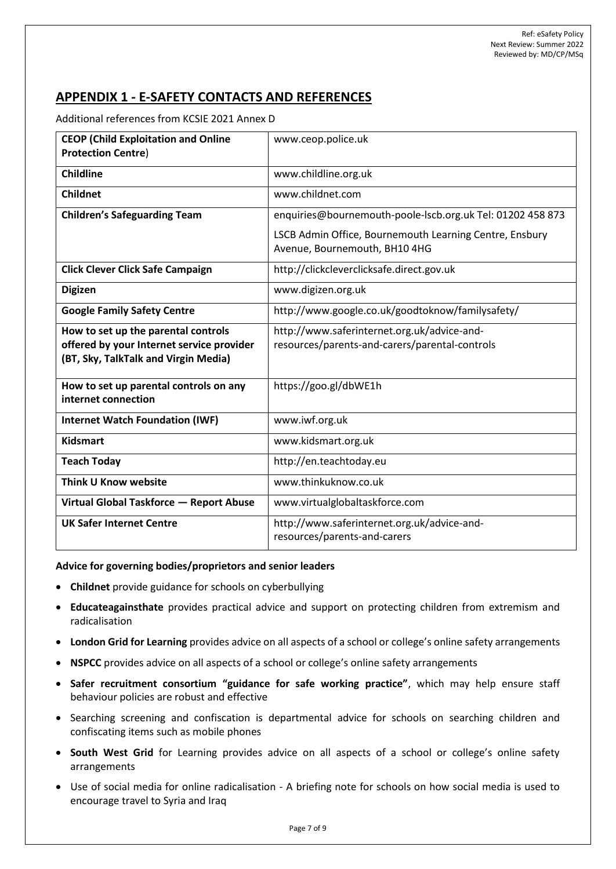# **APPENDIX 1 - E-SAFETY CONTACTS AND REFERENCES**

Additional references from KCSIE 2021 Annex D

| <b>CEOP (Child Exploitation and Online</b><br><b>Protection Centre)</b>                                                  | www.ceop.police.uk                                                                            |
|--------------------------------------------------------------------------------------------------------------------------|-----------------------------------------------------------------------------------------------|
| <b>Childline</b>                                                                                                         | www.childline.org.uk                                                                          |
| <b>Childnet</b>                                                                                                          | www.childnet.com                                                                              |
| <b>Children's Safeguarding Team</b>                                                                                      | enquiries@bournemouth-poole-lscb.org.uk Tel: 01202 458 873                                    |
|                                                                                                                          | LSCB Admin Office, Bournemouth Learning Centre, Ensbury<br>Avenue, Bournemouth, BH10 4HG      |
| <b>Click Clever Click Safe Campaign</b>                                                                                  | http://clickcleverclicksafe.direct.gov.uk                                                     |
| <b>Digizen</b>                                                                                                           | www.digizen.org.uk                                                                            |
| <b>Google Family Safety Centre</b>                                                                                       | http://www.google.co.uk/goodtoknow/familysafety/                                              |
| How to set up the parental controls<br>offered by your Internet service provider<br>(BT, Sky, TalkTalk and Virgin Media) | http://www.saferinternet.org.uk/advice-and-<br>resources/parents-and-carers/parental-controls |
| How to set up parental controls on any<br>internet connection                                                            | https://goo.gl/dbWE1h                                                                         |
| <b>Internet Watch Foundation (IWF)</b>                                                                                   | www.iwf.org.uk                                                                                |
| <b>Kidsmart</b>                                                                                                          | www.kidsmart.org.uk                                                                           |
| <b>Teach Today</b>                                                                                                       | http://en.teachtoday.eu                                                                       |
| Think U Know website                                                                                                     | www.thinkuknow.co.uk                                                                          |
| Virtual Global Taskforce - Report Abuse                                                                                  | www.virtualglobaltaskforce.com                                                                |
| <b>UK Safer Internet Centre</b>                                                                                          | http://www.saferinternet.org.uk/advice-and-<br>resources/parents-and-carers                   |

**Advice for governing bodies/proprietors and senior leaders** 

- **Childnet** provide guidance for schools on cyberbullying
- **Educateagainsthate** provides practical advice and support on protecting children from extremism and radicalisation
- **London Grid for Learning** provides advice on all aspects of a school or college's online safety arrangements
- **NSPCC** provides advice on all aspects of a school or college's online safety arrangements
- **Safer recruitment consortium "guidance for safe working practice"**, which may help ensure staff behaviour policies are robust and effective
- Searching screening and confiscation is departmental advice for schools on searching children and confiscating items such as mobile phones
- **South West Grid** for Learning provides advice on all aspects of a school or college's online safety arrangements
- Use of social media for online radicalisation A briefing note for schools on how social media is used to encourage travel to Syria and Iraq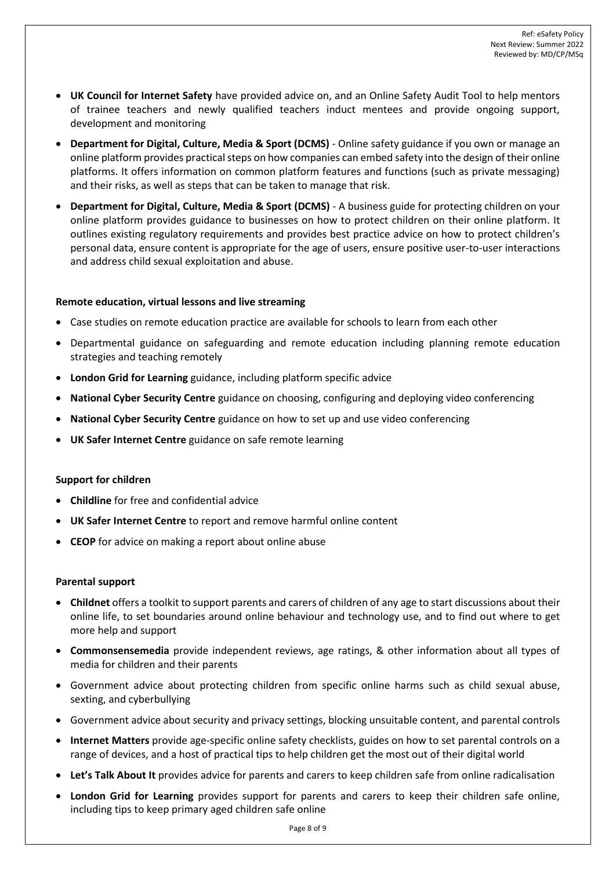- **UK Council for Internet Safety** have provided advice on, and an Online Safety Audit Tool to help mentors of trainee teachers and newly qualified teachers induct mentees and provide ongoing support, development and monitoring
- **Department for Digital, Culture, Media & Sport (DCMS)** Online safety guidance if you own or manage an online platform provides practical steps on how companies can embed safety into the design of their online platforms. It offers information on common platform features and functions (such as private messaging) and their risks, as well as steps that can be taken to manage that risk.
- **Department for Digital, Culture, Media & Sport (DCMS)** A business guide for protecting children on your online platform provides guidance to businesses on how to protect children on their online platform. It outlines existing regulatory requirements and provides best practice advice on how to protect children's personal data, ensure content is appropriate for the age of users, ensure positive user-to-user interactions and address child sexual exploitation and abuse.

# **Remote education, virtual lessons and live streaming**

- Case studies on remote education practice are available for schools to learn from each other
- Departmental guidance on safeguarding and remote education including planning remote education strategies and teaching remotely
- **London Grid for Learning** guidance, including platform specific advice
- **National Cyber Security Centre** guidance on choosing, configuring and deploying video conferencing
- **National Cyber Security Centre** guidance on how to set up and use video conferencing
- **UK Safer Internet Centre** guidance on safe remote learning

# **Support for children**

- **Childline** for free and confidential advice
- **UK Safer Internet Centre** to report and remove harmful online content
- **CEOP** for advice on making a report about online abuse

## **Parental support**

- **Childnet** offers a toolkit to support parents and carers of children of any age to start discussions about their online life, to set boundaries around online behaviour and technology use, and to find out where to get more help and support
- **Commonsensemedia** provide independent reviews, age ratings, & other information about all types of media for children and their parents
- Government advice about protecting children from specific online harms such as child sexual abuse, sexting, and cyberbullying
- Government advice about security and privacy settings, blocking unsuitable content, and parental controls
- **Internet Matters** provide age-specific online safety checklists, guides on how to set parental controls on a range of devices, and a host of practical tips to help children get the most out of their digital world
- **Let's Talk About It** provides advice for parents and carers to keep children safe from online radicalisation
- **London Grid for Learning** provides support for parents and carers to keep their children safe online, including tips to keep primary aged children safe online